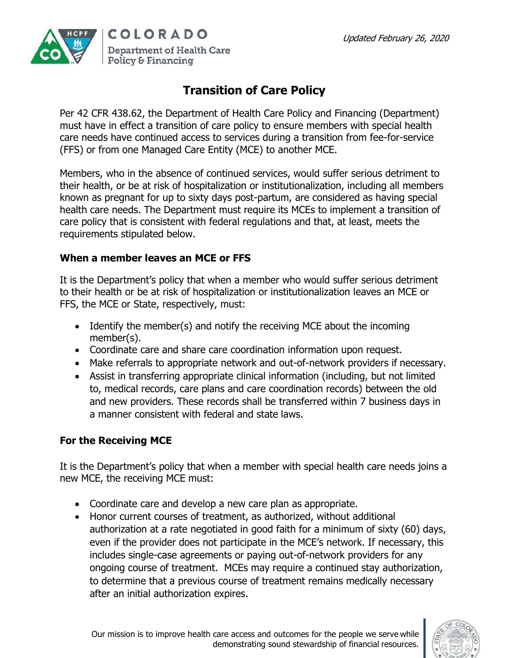

## **Transition of Care Policy**

Per 42 CFR 438.62, the Department of Health Care Policy and Financing (Department) must have in effect a transition of care policy to ensure members with special health care needs have continued access to services during a transition from fee-for-service (FFS) or from one Managed Care Entity (MCE) to another MCE.

Members, who in the absence of continued services, would suffer serious detriment to their health, or be at risk of hospitalization or institutionalization, including all members known as pregnant for up to sixty days post-partum, are considered as having special health care needs. The Department must require its MCEs to implement a transition of care policy that is consistent with federal regulations and that, at least, meets the requirements stipulated below.

## **When a member leaves an MCE or FFS**

It is the Department's policy that when a member who would suffer serious detriment to their health or be at risk of hospitalization or institutionalization leaves an MCE or FFS, the MCE or State, respectively, must:

- Identify the member(s) and notify the receiving MCE about the incoming member(s).
- Coordinate care and share care coordination information upon request.
- Make referrals to appropriate network and out-of-network providers if necessary.
- Assist in transferring appropriate clinical information (including, but not limited to, medical records, care plans and care coordination records) between the old and new providers. These records shall be transferred within 7 business days in a manner consistent with federal and state laws.

## **For the Receiving MCE**

It is the Department's policy that when a member with special health care needs joins a new MCE, the receiving MCE must:

- Coordinate care and develop a new care plan as appropriate.
- Honor current courses of treatment, as authorized, without additional authorization at a rate negotiated in good faith for a minimum of sixty (60) days, even if the provider does not participate in the MCE's network. If necessary, this includes single-case agreements or paying out-of-network providers for any ongoing course of treatment. MCEs may require a continued stay authorization, to determine that a previous course of treatment remains medically necessary after an initial authorization expires.